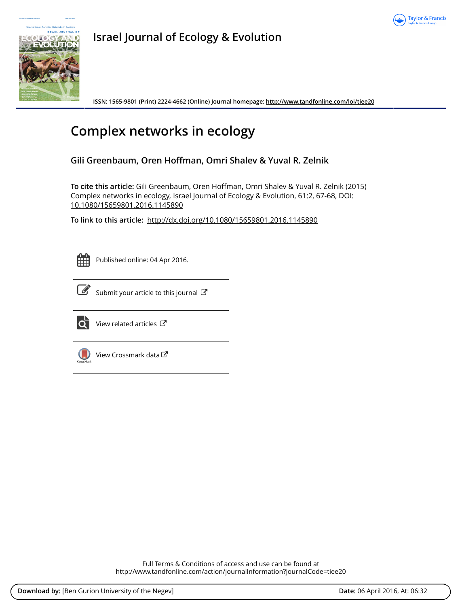



**Israel Journal of Ecology & Evolution**

**ISSN: 1565-9801 (Print) 2224-4662 (Online) Journal homepage:<http://www.tandfonline.com/loi/tiee20>**

# **Complex networks in ecology**

# **Gili Greenbaum, Oren Hoffman, Omri Shalev & Yuval R. Zelnik**

**To cite this article:** Gili Greenbaum, Oren Hoffman, Omri Shalev & Yuval R. Zelnik (2015) Complex networks in ecology, Israel Journal of Ecology & Evolution, 61:2, 67-68, DOI: [10.1080/15659801.2016.1145890](http://www.tandfonline.com/action/showCitFormats?doi=10.1080/15659801.2016.1145890)

**To link to this article:** <http://dx.doi.org/10.1080/15659801.2016.1145890>



Published online: 04 Apr 2016.



 $\overrightarrow{S}$  [Submit your article to this journal](http://www.tandfonline.com/action/authorSubmission?journalCode=tiee20&page=instructions)  $\overrightarrow{S}$ 



 $\overrightarrow{Q}$  [View related articles](http://www.tandfonline.com/doi/mlt/10.1080/15659801.2016.1145890)  $\overrightarrow{C}$ 



[View Crossmark data](http://crossmark.crossref.org/dialog/?doi=10.1080/15659801.2016.1145890&domain=pdf&date_stamp=2016-04-04)<sup>で</sup>

Full Terms & Conditions of access and use can be found at <http://www.tandfonline.com/action/journalInformation?journalCode=tiee20>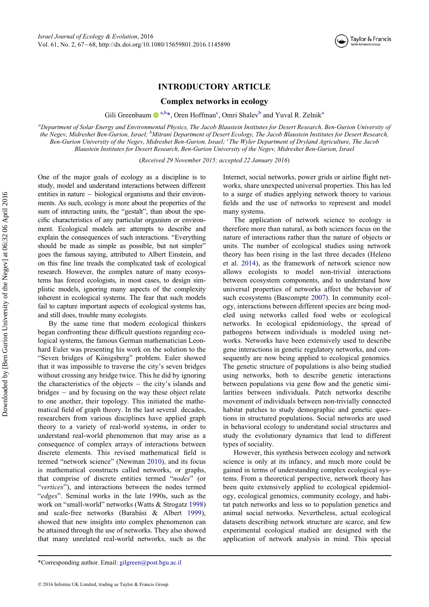

# INTRODUCTORY ARTICLE

Complex networks in ecology

Gili Greenbau[m](#page-2-0) <sup>® [a](#page-1-0)[,b](#page-1-1)\*</sup>, Oren Hoffman<sup>[c](#page-1-3)</sup>, Omri Shalev<sup>[b](#page-1-1)</sup> and Yuval R. Zelnik<sup>a</sup>

<span id="page-1-3"></span><span id="page-1-1"></span><span id="page-1-0"></span><sup>a</sup>Department of Solar Energy and Environmental Physics, The Jacob Blaustein Institutes for Desert Research, Ben-Gurion University of the Negev, Midreshet Ben-Gurion, Israel; <sup>b</sup>Mitrani Department of Desert Ecology, The Jacob Blaustein Institutes for Desert Research, Ben-Gurion University of the Negev, Midreshet Ben-Gurion, Israel; <sup>c</sup>The Wyler Department of Dryland Agriculture, The Jacob Blaustein Institutes for Desert Research, Ben-Gurion University of the Negev, Midreshet Ben-Gurion, Israel

(Received 29 November 2015; accepted 22 January 2016)

One of the major goals of ecology as a discipline is to study, model and understand interactions between different entities in nature  $-$  biological organisms and their environments. As such, ecology is more about the properties of the sum of interacting units, the "gestalt", than about the specific characteristics of any particular organism or environment. Ecological models are attempts to describe and explain the consequences of such interactions. "Everything should be made as simple as possible, but not simpler" goes the famous saying, attributed to Albert Einstein, and on this fine line treads the complicated task of ecological research. However, the complex nature of many ecosystems has forced ecologists, in most cases, to design simplistic models, ignoring many aspects of the complexity inherent in ecological systems. The fear that such models fail to capture important aspects of ecological systems has, and still does, trouble many ecologists.

By the same time that modern ecological thinkers began confronting these difficult questions regarding ecological systems, the famous German mathematician Leonhard Euler was presenting his work on the solution to the "Seven bridges of Königsberg" problem. Euler showed that it was impossible to traverse the city's seven bridges without crossing any bridge twice. This he did by ignoring the characteristics of the objects  $-$  the city's islands and  $b$ ridges  $-$  and by focusing on the way these object relate to one another, their topology. This initiated the mathematical field of graph theory. In the last several decades, researchers from various disciplines have applied graph theory to a variety of real-world systems, in order to understand real-world phenomenon that may arise as a consequence of complex arrays of interactions between discrete elements. This revised mathematical field is termed "network science" (Newman [2010](#page-2-1)), and its focus is mathematical constructs called networks, or graphs, that comprise of discrete entities termed "nodes" (or "vertices"), and interactions between the nodes termed "edges". Seminal works in the late 1990s, such as the work on "small-world" networks (Watts & Strogatz [1998](#page-2-2)) and scale-free networks (Barabási & Albert [1999\)](#page-2-3), showed that new insights into complex phenomenon can be attained through the use of networks. They also showed that many unrelated real-world networks, such as the Internet, social networks, power grids or airline flight networks, share unexpected universal properties. This has led to a surge of studies applying network theory to various fields and the use of networks to represent and model many systems.

The application of network science to ecology is therefore more than natural, as both sciences focus on the nature of interactions rather than the nature of objects or units. The number of ecological studies using network theory has been rising in the last three decades (Heleno et al. [2014](#page-2-4)), as the framework of network science now allows ecologists to model non-trivial interactions between ecosystem components, and to understand how universal properties of networks affect the behavior of such ecosystems (Bascompte [2007](#page-2-5)). In community ecology, interactions between different species are being modeled using networks called food webs or ecological networks. In ecological epidemiology, the spread of pathogens between individuals is modeled using networks. Networks have been extensively used to describe gene interactions in genetic regulatory networks, and consequently are now being applied to ecological genomics. The genetic structure of populations is also being studied using networks, both to describe genetic interactions between populations via gene flow and the genetic similarities between individuals. Patch networks describe movement of individuals between non-trivially connected habitat patches to study demographic and genetic questions in structured populations. Social networks are used in behavioral ecology to understand social structures and study the evolutionary dynamics that lead to different types of sociality.

However, this synthesis between ecology and network science is only at its infancy, and much more could be gained in terms of understanding complex ecological systems. From a theoretical perspective, network theory has been quite extensively applied to ecological epidemiology, ecological genomics, community ecology, and habitat patch networks and less so to population genetics and animal social networks. Nevertheless, actual ecological datasets describing network structure are scarce, and few experimental ecological studied are designed with the application of network analysis in mind. This special

<span id="page-1-2"></span><sup>\*</sup>Corresponding author. Email: [gilgreen@post.bgu.ac.il](mailto:gilgreen@post.bgu.ac.il)